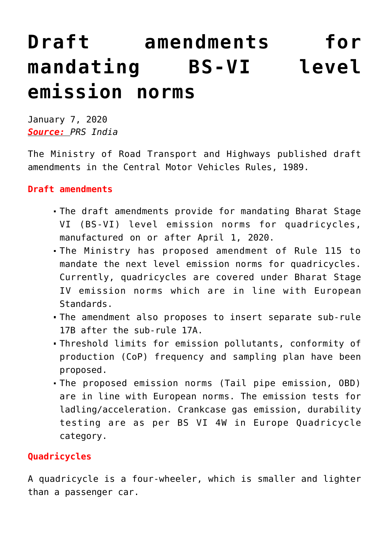## **[Draft amendments for](https://journalsofindia.com/draft-amendments-for-mandating-bs-vi-level-emission-norms/) [mandating BS-VI level](https://journalsofindia.com/draft-amendments-for-mandating-bs-vi-level-emission-norms/) [emission norms](https://journalsofindia.com/draft-amendments-for-mandating-bs-vi-level-emission-norms/)**

January 7, 2020 *Source: PRS India*

The Ministry of Road Transport and Highways published draft amendments in the Central Motor Vehicles Rules, 1989.

## **Draft amendments**

- The draft amendments provide for mandating Bharat Stage VI (BS-VI) level emission norms for quadricycles, manufactured on or after April 1, 2020.
- The Ministry has proposed amendment of Rule 115 to mandate the next level emission norms for quadricycles. Currently, quadricycles are covered under Bharat Stage IV emission norms which are in line with European Standards.
- The amendment also proposes to insert separate sub-rule 17B after the sub-rule 17A.
- Threshold limits for emission pollutants, conformity of production (CoP) frequency and sampling plan have been proposed.
- The proposed emission norms (Tail pipe emission, OBD) are in line with European norms. The emission tests for ladling/acceleration. Crankcase gas emission, durability testing are as per BS VI 4W in Europe Quadricycle category.

## **Quadricycles**

A quadricycle is a four-wheeler, which is smaller and lighter than a passenger car.